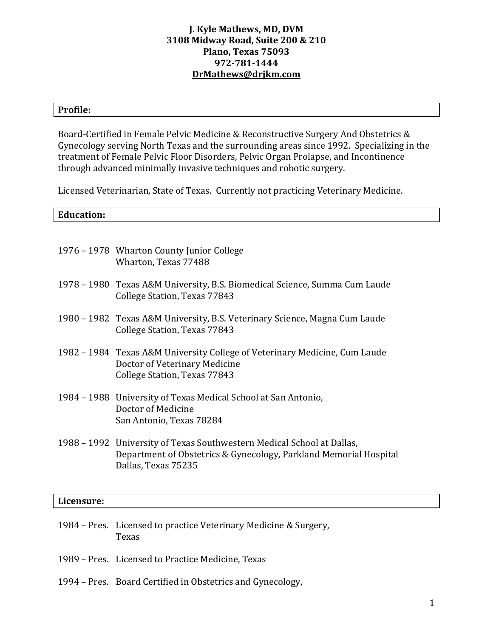### **J. Kyle Mathews, MD, DVM 3108 Midway Road, Suite 200 & 210 Plano, Texas 75093 972-781-1444 [DrMathews@drjkm.com](mailto:DrMathews@drjkm.com)**

#### **Profile:**

Board-Certified in Female Pelvic Medicine & Reconstructive Surgery And Obstetrics & Gynecology serving North Texas and the surrounding areas since 1992. Specializing in the treatment of Female Pelvic Floor Disorders, Pelvic Organ Prolapse, and Incontinence through advanced minimally invasive techniques and robotic surgery.

Licensed Veterinarian, State of Texas. Currently not practicing Veterinary Medicine.

#### **Education:**

| 1976 – 1978 Wharton County Junior College<br>Wharton, Texas 77488                                                                           |
|---------------------------------------------------------------------------------------------------------------------------------------------|
| 1978 – 1980 Texas A&M University, B.S. Biomedical Science, Summa Cum Laude<br>College Station, Texas 77843                                  |
| 1980 – 1982 Texas A&M University, B.S. Veterinary Science, Magna Cum Laude<br>College Station, Texas 77843                                  |
| 1982 – 1984 Texas A&M University College of Veterinary Medicine, Cum Laude<br>Doctor of Veterinary Medicine<br>College Station, Texas 77843 |
| 1984 – 1988 University of Texas Medical School at San Antonio,<br>Doctor of Medicine<br>San Antonio, Texas 78284                            |
| 1988 – 1992 University of Texas Southwestern Medical School at Dallas,<br>Department of Obstetrics & Gynecology, Parkland Memorial Hospital |

#### **Licensure:**

- 1984 Pres. Licensed to practice Veterinary Medicine & Surgery, Texas
- 1989 Pres. Licensed to Practice Medicine, Texas

Dallas, Texas 75235

1994 – Pres. Board Certified in Obstetrics and Gynecology,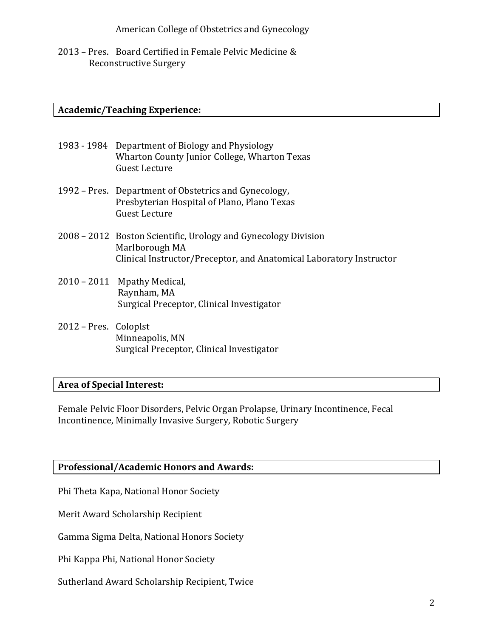American College of Obstetrics and Gynecology

2013 – Pres. Board Certified in Female Pelvic Medicine & Reconstructive Surgery

### **Academic/Teaching Experience:**

- 1983 1984 Department of Biology and Physiology Wharton County Junior College, Wharton Texas Guest Lecture
- 1992 Pres. Department of Obstetrics and Gynecology, Presbyterian Hospital of Plano, Plano Texas Guest Lecture
- 2008 2012 Boston Scientific, Urology and Gynecology Division Marlborough MA Clinical Instructor/Preceptor, and Anatomical Laboratory Instructor
- 2010 2011 Mpathy Medical, Raynham, MA Surgical Preceptor, Clinical Investigator
- 2012 Pres. Coloplst Minneapolis, MN Surgical Preceptor, Clinical Investigator

### **Area of Special Interest:**

Female Pelvic Floor Disorders, Pelvic Organ Prolapse, Urinary Incontinence, Fecal Incontinence, Minimally Invasive Surgery, Robotic Surgery

### **Professional/Academic Honors and Awards:**

Phi Theta Kapa, National Honor Society

Merit Award Scholarship Recipient

Gamma Sigma Delta, National Honors Society

Phi Kappa Phi, National Honor Society

Sutherland Award Scholarship Recipient, Twice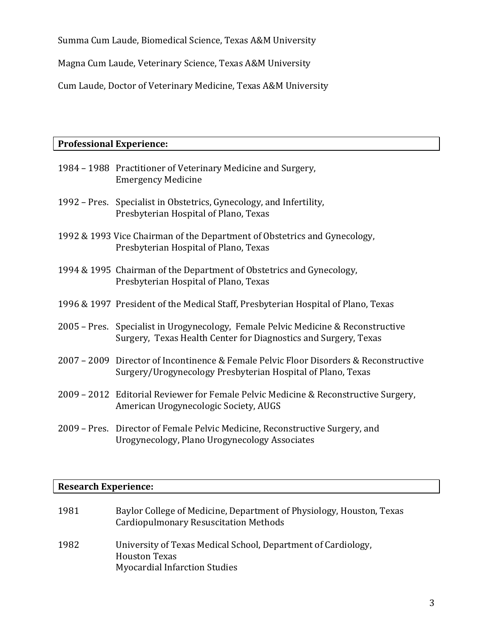Summa Cum Laude, Biomedical Science, Texas A&M University

Magna Cum Laude, Veterinary Science, Texas A&M University

Cum Laude, Doctor of Veterinary Medicine, Texas A&M University

| <b>Professional Experience:</b> |                                                                                                                                                      |  |
|---------------------------------|------------------------------------------------------------------------------------------------------------------------------------------------------|--|
|                                 | 1984 - 1988 Practitioner of Veterinary Medicine and Surgery,<br><b>Emergency Medicine</b>                                                            |  |
|                                 | 1992 – Pres. Specialist in Obstetrics, Gynecology, and Infertility,<br>Presbyterian Hospital of Plano, Texas                                         |  |
|                                 | 1992 & 1993 Vice Chairman of the Department of Obstetrics and Gynecology,<br>Presbyterian Hospital of Plano, Texas                                   |  |
|                                 | 1994 & 1995 Chairman of the Department of Obstetrics and Gynecology,<br>Presbyterian Hospital of Plano, Texas                                        |  |
|                                 | 1996 & 1997 President of the Medical Staff, Presbyterian Hospital of Plano, Texas                                                                    |  |
|                                 | 2005 – Pres. Specialist in Urogynecology, Female Pelvic Medicine & Reconstructive<br>Surgery, Texas Health Center for Diagnostics and Surgery, Texas |  |
|                                 | 2007 – 2009 Director of Incontinence & Female Pelvic Floor Disorders & Reconstructive<br>Surgery/Urogynecology Presbyterian Hospital of Plano, Texas |  |
|                                 | 2009 - 2012 Editorial Reviewer for Female Pelvic Medicine & Reconstructive Surgery,<br>American Urogynecologic Society, AUGS                         |  |
|                                 | 2009 – Pres. Director of Female Pelvic Medicine, Reconstructive Surgery, and<br>Urogynecology, Plano Urogynecology Associates                        |  |

# **Research Experience:**

| 1981 | Baylor College of Medicine, Department of Physiology, Houston, Texas<br><b>Cardiopulmonary Resuscitation Methods</b>          |
|------|-------------------------------------------------------------------------------------------------------------------------------|
| 1982 | University of Texas Medical School, Department of Cardiology,<br><b>Houston Texas</b><br><b>Myocardial Infarction Studies</b> |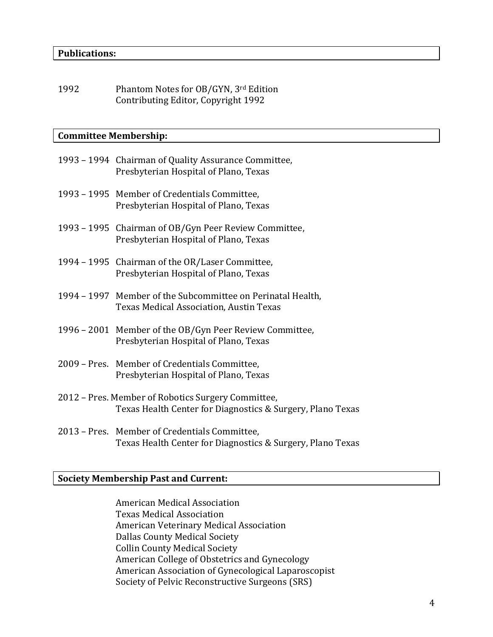1992 Phantom Notes for OB/GYN, 3rd Edition Contributing Editor, Copyright 1992

#### **Committee Membership:**

| 1993 – 1994 Chairman of Quality Assurance Committee,<br>Presbyterian Hospital of Plano, Texas          |
|--------------------------------------------------------------------------------------------------------|
| 1993 - 1995 Member of Credentials Committee,<br>Presbyterian Hospital of Plano, Texas                  |
| 1993 – 1995 Chairman of OB/Gyn Peer Review Committee,<br>Presbyterian Hospital of Plano, Texas         |
| 1994 - 1995 Chairman of the OR/Laser Committee,<br>Presbyterian Hospital of Plano, Texas               |
| 1994 – 1997 Member of the Subcommittee on Perinatal Health,<br>Texas Medical Association, Austin Texas |
| 1996 – 2001 Member of the OB/Gyn Peer Review Committee,<br>Presbyterian Hospital of Plano, Texas       |

- 2009 Pres. Member of Credentials Committee, Presbyterian Hospital of Plano, Texas
- 2012 Pres. Member of Robotics Surgery Committee, Texas Health Center for Diagnostics & Surgery, Plano Texas
- 2013 Pres. Member of Credentials Committee, Texas Health Center for Diagnostics & Surgery, Plano Texas

### **Society Membership Past and Current:**

American Medical Association Texas Medical Association American Veterinary Medical Association Dallas County Medical Society Collin County Medical Society American College of Obstetrics and Gynecology American Association of Gynecological Laparoscopist Society of Pelvic Reconstructive Surgeons (SRS)